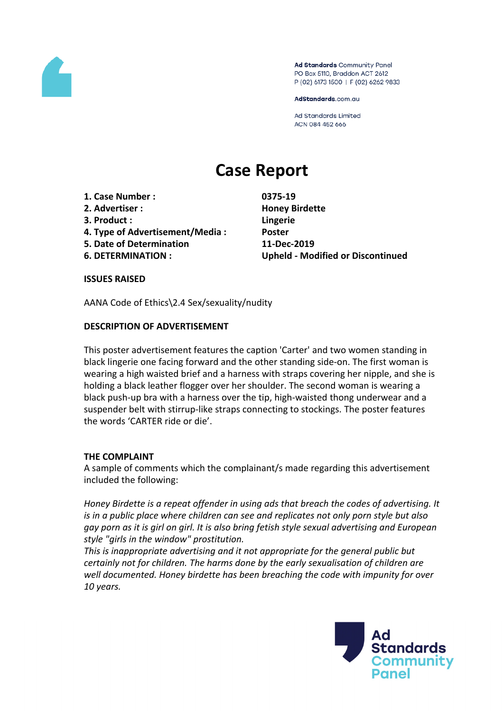

Ad Standards Community Panel PO Box 5110, Braddon ACT 2612 P (02) 6173 1500 | F (02) 6262 9833

AdStandards.com.au

Ad Standards Limited ACN 084 452 666

# **Case Report**

- **1. Case Number : 0375-19**
- **2. Advertiser : Honey Birdette**
- **3. Product : Lingerie**
- **4. Type of Advertisement/Media : Poster**
- **5. Date of Determination 11-Dec-2019**
- 

**6. DETERMINATION : Upheld - Modified or Discontinued**

**ISSUES RAISED**

AANA Code of Ethics\2.4 Sex/sexuality/nudity

# **DESCRIPTION OF ADVERTISEMENT**

This poster advertisement features the caption 'Carter' and two women standing in black lingerie one facing forward and the other standing side-on. The first woman is wearing a high waisted brief and a harness with straps covering her nipple, and she is holding a black leather flogger over her shoulder. The second woman is wearing a black push-up bra with a harness over the tip, high-waisted thong underwear and a suspender belt with stirrup-like straps connecting to stockings. The poster features the words 'CARTER ride or die'.

# **THE COMPLAINT**

A sample of comments which the complainant/s made regarding this advertisement included the following:

*Honey Birdette is a repeat offender in using ads that breach the codes of advertising. It is in a public place where children can see and replicates not only porn style but also gay porn as it is girl on girl. It is also bring fetish style sexual advertising and European style "girls in the window" prostitution.*

*This is inappropriate advertising and it not appropriate for the general public but certainly not for children. The harms done by the early sexualisation of children are well documented. Honey birdette has been breaching the code with impunity for over 10 years.*

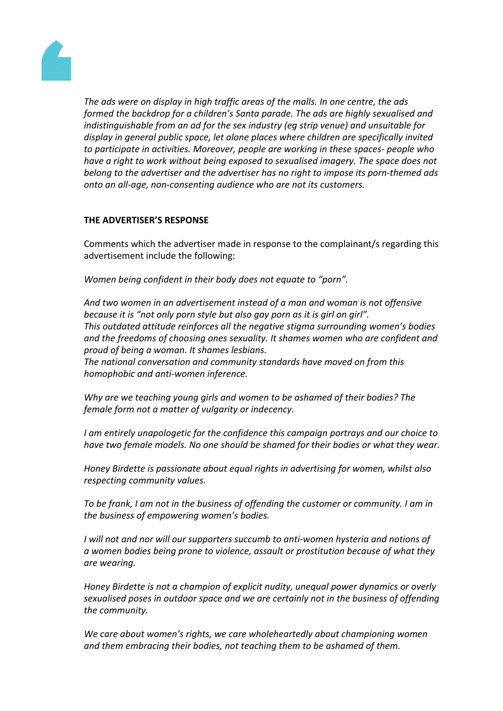

*The ads were on display in high traffic areas of the malls. In one centre, the ads formed the backdrop for a children's Santa parade. The ads are highly sexualised and indistinguishable from an ad for the sex industry (eg strip venue) and unsuitable for display in general public space, let alone places where children are specifically invited to participate in activities. Moreover, people are working in these spaces- people who have a right to work without being exposed to sexualised imagery. The space does not belong to the advertiser and the advertiser has no right to impose its porn-themed ads onto an all-age, non-consenting audience who are not its customers.*

# **THE ADVERTISER'S RESPONSE**

Comments which the advertiser made in response to the complainant/s regarding this advertisement include the following:

*Women being confident in their body does not equate to "porn".*

*And two women in an advertisement instead of a man and woman is not offensive because it is "not only porn style but also gay porn as it is girl on girl". This outdated attitude reinforces all the negative stigma surrounding women's bodies and the freedoms of choosing ones sexuality. It shames women who are confident and proud of being a woman. It shames lesbians. The national conversation and community standards have moved on from this homophobic and anti-women inference.*

*Why are we teaching young girls and women to be ashamed of their bodies? The female form not a matter of vulgarity or indecency.*

*I am entirely unapologetic for the confidence this campaign portrays and our choice to have two female models. No one should be shamed for their bodies or what they wear.*

*Honey Birdette is passionate about equal rights in advertising for women, whilst also respecting community values.*

*To be frank, I am not in the business of offending the customer or community. I am in the business of empowering women's bodies.*

*I will not and nor will our supporters succumb to anti-women hysteria and notions of a women bodies being prone to violence, assault or prostitution because of what they are wearing.*

*Honey Birdette is not a champion of explicit nudity, unequal power dynamics or overly sexualised poses in outdoor space and we are certainly not in the business of offending the community.*

*We care about women's rights, we care wholeheartedly about championing women and them embracing their bodies, not teaching them to be ashamed of them.*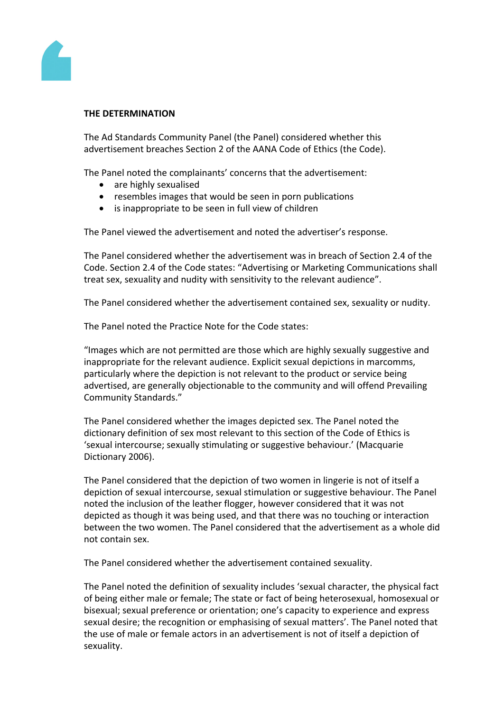

# **THE DETERMINATION**

The Ad Standards Community Panel (the Panel) considered whether this advertisement breaches Section 2 of the AANA Code of Ethics (the Code).

The Panel noted the complainants' concerns that the advertisement:

- are highly sexualised
- resembles images that would be seen in porn publications
- is inappropriate to be seen in full view of children

The Panel viewed the advertisement and noted the advertiser's response.

The Panel considered whether the advertisement was in breach of Section 2.4 of the Code. Section 2.4 of the Code states: "Advertising or Marketing Communications shall treat sex, sexuality and nudity with sensitivity to the relevant audience".

The Panel considered whether the advertisement contained sex, sexuality or nudity.

The Panel noted the Practice Note for the Code states:

"Images which are not permitted are those which are highly sexually suggestive and inappropriate for the relevant audience. Explicit sexual depictions in marcomms, particularly where the depiction is not relevant to the product or service being advertised, are generally objectionable to the community and will offend Prevailing Community Standards."

The Panel considered whether the images depicted sex. The Panel noted the dictionary definition of sex most relevant to this section of the Code of Ethics is 'sexual intercourse; sexually stimulating or suggestive behaviour.' (Macquarie Dictionary 2006).

The Panel considered that the depiction of two women in lingerie is not of itself a depiction of sexual intercourse, sexual stimulation or suggestive behaviour. The Panel noted the inclusion of the leather flogger, however considered that it was not depicted as though it was being used, and that there was no touching or interaction between the two women. The Panel considered that the advertisement as a whole did not contain sex.

The Panel considered whether the advertisement contained sexuality.

The Panel noted the definition of sexuality includes 'sexual character, the physical fact of being either male or female; The state or fact of being heterosexual, homosexual or bisexual; sexual preference or orientation; one's capacity to experience and express sexual desire; the recognition or emphasising of sexual matters'. The Panel noted that the use of male or female actors in an advertisement is not of itself a depiction of sexuality.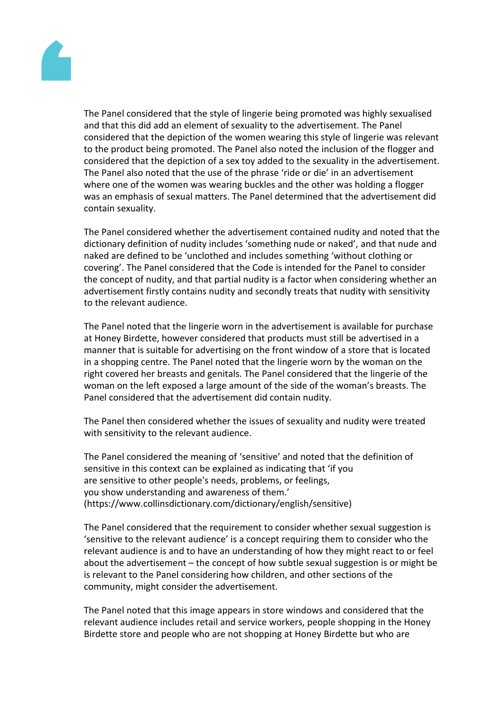

The Panel considered that the style of lingerie being promoted was highly sexualised and that this did add an element of sexuality to the advertisement. The Panel considered that the depiction of the women wearing this style of lingerie was relevant to the product being promoted. The Panel also noted the inclusion of the flogger and considered that the depiction of a sex toy added to the sexuality in the advertisement. The Panel also noted that the use of the phrase 'ride or die' in an advertisement where one of the women was wearing buckles and the other was holding a flogger was an emphasis of sexual matters. The Panel determined that the advertisement did contain sexuality.

The Panel considered whether the advertisement contained nudity and noted that the dictionary definition of nudity includes 'something nude or naked', and that nude and naked are defined to be 'unclothed and includes something 'without clothing or covering'. The Panel considered that the Code is intended for the Panel to consider the concept of nudity, and that partial nudity is a factor when considering whether an advertisement firstly contains nudity and secondly treats that nudity with sensitivity to the relevant audience.

The Panel noted that the lingerie worn in the advertisement is available for purchase at Honey Birdette, however considered that products must still be advertised in a manner that is suitable for advertising on the front window of a store that is located in a shopping centre. The Panel noted that the lingerie worn by the woman on the right covered her breasts and genitals. The Panel considered that the lingerie of the woman on the left exposed a large amount of the side of the woman's breasts. The Panel considered that the advertisement did contain nudity.

The Panel then considered whether the issues of sexuality and nudity were treated with sensitivity to the relevant audience.

The Panel considered the meaning of 'sensitive' and noted that the definition of sensitive in this context can be explained as indicating that 'if you are sensitive to other people's needs, problems, or feelings, you show understanding and awareness of them.' (https://www.collinsdictionary.com/dictionary/english/sensitive)

The Panel considered that the requirement to consider whether sexual suggestion is 'sensitive to the relevant audience' is a concept requiring them to consider who the relevant audience is and to have an understanding of how they might react to or feel about the advertisement – the concept of how subtle sexual suggestion is or might be is relevant to the Panel considering how children, and other sections of the community, might consider the advertisement.

The Panel noted that this image appears in store windows and considered that the relevant audience includes retail and service workers, people shopping in the Honey Birdette store and people who are not shopping at Honey Birdette but who are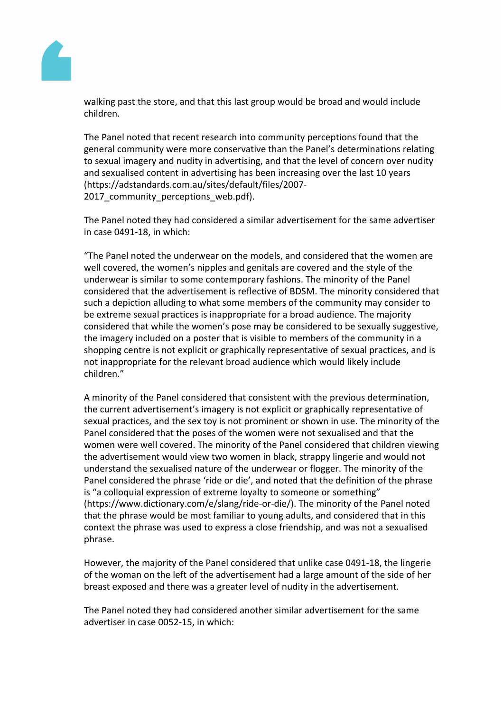

walking past the store, and that this last group would be broad and would include children.

The Panel noted that recent research into community perceptions found that the general community were more conservative than the Panel's determinations relating to sexual imagery and nudity in advertising, and that the level of concern over nudity and sexualised content in advertising has been increasing over the last 10 years (https://adstandards.com.au/sites/default/files/2007- 2017 community perceptions web.pdf).

The Panel noted they had considered a similar advertisement for the same advertiser in case 0491-18, in which:

"The Panel noted the underwear on the models, and considered that the women are well covered, the women's nipples and genitals are covered and the style of the underwear is similar to some contemporary fashions. The minority of the Panel considered that the advertisement is reflective of BDSM. The minority considered that such a depiction alluding to what some members of the community may consider to be extreme sexual practices is inappropriate for a broad audience. The majority considered that while the women's pose may be considered to be sexually suggestive, the imagery included on a poster that is visible to members of the community in a shopping centre is not explicit or graphically representative of sexual practices, and is not inappropriate for the relevant broad audience which would likely include children."

A minority of the Panel considered that consistent with the previous determination, the current advertisement's imagery is not explicit or graphically representative of sexual practices, and the sex toy is not prominent or shown in use. The minority of the Panel considered that the poses of the women were not sexualised and that the women were well covered. The minority of the Panel considered that children viewing the advertisement would view two women in black, strappy lingerie and would not understand the sexualised nature of the underwear or flogger. The minority of the Panel considered the phrase 'ride or die', and noted that the definition of the phrase is "a colloquial expression of extreme loyalty to someone or something" (https://www.dictionary.com/e/slang/ride-or-die/). The minority of the Panel noted that the phrase would be most familiar to young adults, and considered that in this context the phrase was used to express a close friendship, and was not a sexualised phrase.

However, the majority of the Panel considered that unlike case 0491-18, the lingerie of the woman on the left of the advertisement had a large amount of the side of her breast exposed and there was a greater level of nudity in the advertisement.

The Panel noted they had considered another similar advertisement for the same advertiser in case 0052-15, in which: